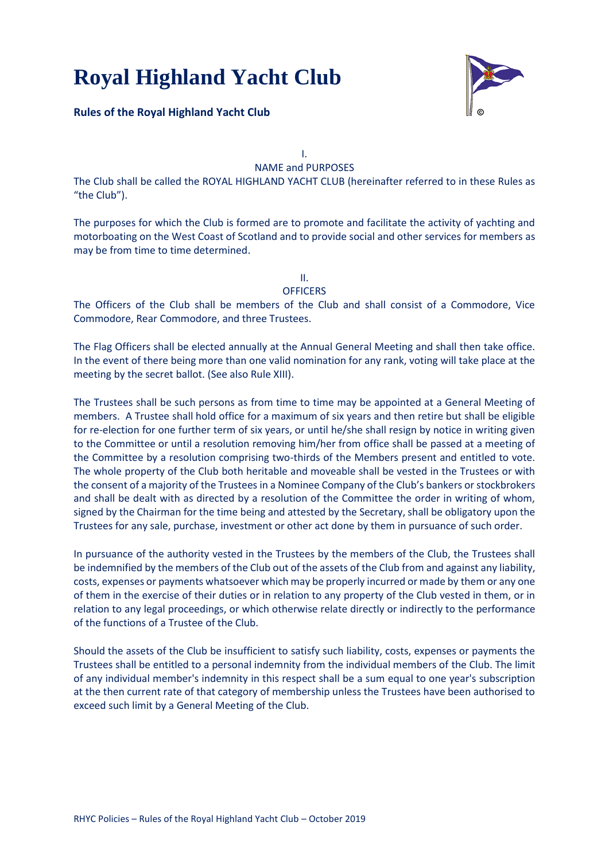

## **Rules of the Royal Highland Yacht Club**

I. NAME and PURPOSES

The Club shall be called the ROYAL HIGHLAND YACHT CLUB (hereinafter referred to in these Rules as "the Club").

The purposes for which the Club is formed are to promote and facilitate the activity of yachting and motorboating on the West Coast of Scotland and to provide social and other services for members as may be from time to time determined.

II.

#### **OFFICERS**

The Officers of the Club shall be members of the Club and shall consist of a Commodore, Vice Commodore, Rear Commodore, and three Trustees.

The Flag Officers shall be elected annually at the Annual General Meeting and shall then take office. In the event of there being more than one valid nomination for any rank, voting will take place at the meeting by the secret ballot. (See also Rule XIII).

The Trustees shall be such persons as from time to time may be appointed at a General Meeting of members. A Trustee shall hold office for a maximum of six years and then retire but shall be eligible for re-election for one further term of six years, or until he/she shall resign by notice in writing given to the Committee or until a resolution removing him/her from office shall be passed at a meeting of the Committee by a resolution comprising two-thirds of the Members present and entitled to vote. The whole property of the Club both heritable and moveable shall be vested in the Trustees or with the consent of a majority of the Trustees in a Nominee Company of the Club's bankers or stockbrokers and shall be dealt with as directed by a resolution of the Committee the order in writing of whom, signed by the Chairman for the time being and attested by the Secretary, shall be obligatory upon the Trustees for any sale, purchase, investment or other act done by them in pursuance of such order.

In pursuance of the authority vested in the Trustees by the members of the Club, the Trustees shall be indemnified by the members of the Club out of the assets of the Club from and against any liability, costs, expenses or payments whatsoever which may be properly incurred or made by them or any one of them in the exercise of their duties or in relation to any property of the Club vested in them, or in relation to any legal proceedings, or which otherwise relate directly or indirectly to the performance of the functions of a Trustee of the Club.

Should the assets of the Club be insufficient to satisfy such liability, costs, expenses or payments the Trustees shall be entitled to a personal indemnity from the individual members of the Club. The limit of any individual member's indemnity in this respect shall be a sum equal to one year's subscription at the then current rate of that category of membership unless the Trustees have been authorised to exceed such limit by a General Meeting of the Club.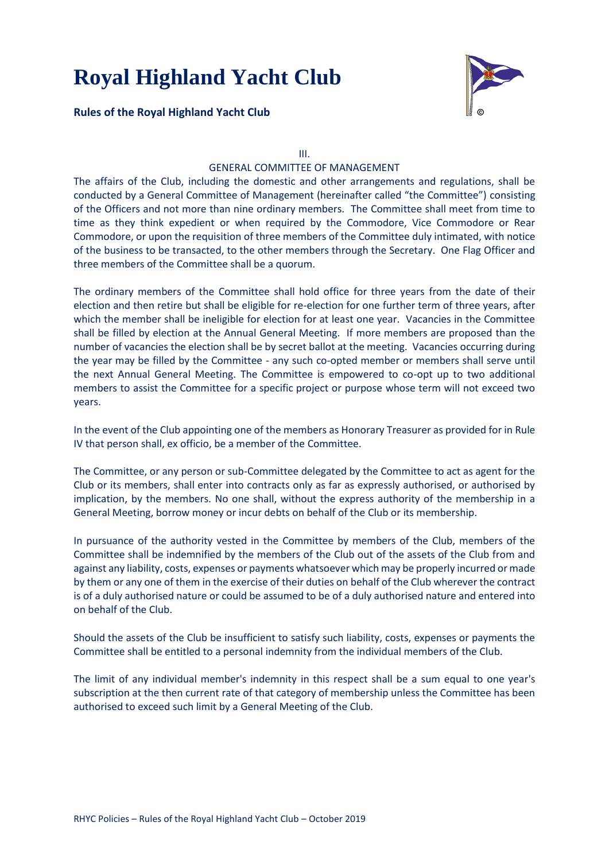**Rules of the Royal Highland Yacht Club**



III.

## GENERAL COMMITTEE OF MANAGEMENT

The affairs of the Club, including the domestic and other arrangements and regulations, shall be conducted by a General Committee of Management (hereinafter called "the Committee") consisting of the Officers and not more than nine ordinary members. The Committee shall meet from time to time as they think expedient or when required by the Commodore, Vice Commodore or Rear Commodore, or upon the requisition of three members of the Committee duly intimated, with notice of the business to be transacted, to the other members through the Secretary. One Flag Officer and three members of the Committee shall be a quorum.

The ordinary members of the Committee shall hold office for three years from the date of their election and then retire but shall be eligible for re-election for one further term of three years, after which the member shall be ineligible for election for at least one year. Vacancies in the Committee shall be filled by election at the Annual General Meeting. If more members are proposed than the number of vacancies the election shall be by secret ballot at the meeting. Vacancies occurring during the year may be filled by the Committee - any such co-opted member or members shall serve until the next Annual General Meeting. The Committee is empowered to co-opt up to two additional members to assist the Committee for a specific project or purpose whose term will not exceed two years.

In the event of the Club appointing one of the members as Honorary Treasurer as provided for in Rule IV that person shall, ex officio, be a member of the Committee.

The Committee, or any person or sub-Committee delegated by the Committee to act as agent for the Club or its members, shall enter into contracts only as far as expressly authorised, or authorised by implication, by the members. No one shall, without the express authority of the membership in a General Meeting, borrow money or incur debts on behalf of the Club or its membership.

In pursuance of the authority vested in the Committee by members of the Club, members of the Committee shall be indemnified by the members of the Club out of the assets of the Club from and against any liability, costs, expenses or payments whatsoever which may be properly incurred or made by them or any one of them in the exercise of their duties on behalf of the Club wherever the contract is of a duly authorised nature or could be assumed to be of a duly authorised nature and entered into on behalf of the Club.

Should the assets of the Club be insufficient to satisfy such liability, costs, expenses or payments the Committee shall be entitled to a personal indemnity from the individual members of the Club.

The limit of any individual member's indemnity in this respect shall be a sum equal to one year's subscription at the then current rate of that category of membership unless the Committee has been authorised to exceed such limit by a General Meeting of the Club.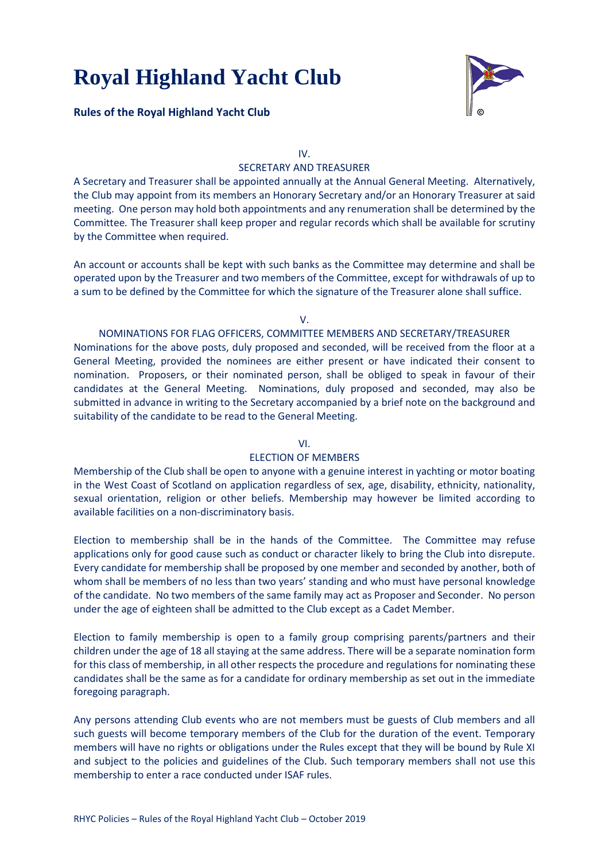

## **Rules of the Royal Highland Yacht Club**

IV.

## SECRETARY AND TREASURER

A Secretary and Treasurer shall be appointed annually at the Annual General Meeting. Alternatively, the Club may appoint from its members an Honorary Secretary and/or an Honorary Treasurer at said meeting. One person may hold both appointments and any renumeration shall be determined by the Committee*.* The Treasurer shall keep proper and regular records which shall be available for scrutiny by the Committee when required.

An account or accounts shall be kept with such banks as the Committee may determine and shall be operated upon by the Treasurer and two members of the Committee, except for withdrawals of up to a sum to be defined by the Committee for which the signature of the Treasurer alone shall suffice.

V.

#### NOMINATIONS FOR FLAG OFFICERS, COMMITTEE MEMBERS AND SECRETARY/TREASURER Nominations for the above posts, duly proposed and seconded, will be received from the floor at a

General Meeting, provided the nominees are either present or have indicated their consent to nomination. Proposers, or their nominated person, shall be obliged to speak in favour of their candidates at the General Meeting. Nominations, duly proposed and seconded, may also be submitted in advance in writing to the Secretary accompanied by a brief note on the background and suitability of the candidate to be read to the General Meeting.

## VI.

## ELECTION OF MEMBERS

Membership of the Club shall be open to anyone with a genuine interest in yachting or motor boating in the West Coast of Scotland on application regardless of sex, age, disability, ethnicity, nationality, sexual orientation, religion or other beliefs. Membership may however be limited according to available facilities on a non-discriminatory basis.

Election to membership shall be in the hands of the Committee. The Committee may refuse applications only for good cause such as conduct or character likely to bring the Club into disrepute. Every candidate for membership shall be proposed by one member and seconded by another, both of whom shall be members of no less than two years' standing and who must have personal knowledge of the candidate. No two members of the same family may act as Proposer and Seconder. No person under the age of eighteen shall be admitted to the Club except as a Cadet Member.

Election to family membership is open to a family group comprising parents/partners and their children under the age of 18 all staying at the same address. There will be a separate nomination form for this class of membership, in all other respects the procedure and regulations for nominating these candidates shall be the same as for a candidate for ordinary membership as set out in the immediate foregoing paragraph.

Any persons attending Club events who are not members must be guests of Club members and all such guests will become temporary members of the Club for the duration of the event. Temporary members will have no rights or obligations under the Rules except that they will be bound by Rule XI and subject to the policies and guidelines of the Club. Such temporary members shall not use this membership to enter a race conducted under ISAF rules.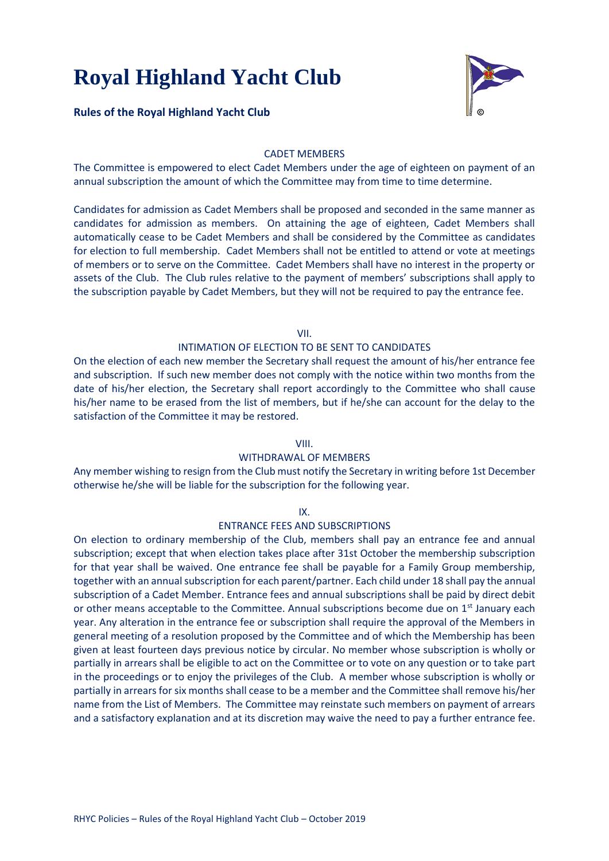### **Rules of the Royal Highland Yacht Club**



### CADET MEMBERS

The Committee is empowered to elect Cadet Members under the age of eighteen on payment of an annual subscription the amount of which the Committee may from time to time determine.

Candidates for admission as Cadet Members shall be proposed and seconded in the same manner as candidates for admission as members. On attaining the age of eighteen, Cadet Members shall automatically cease to be Cadet Members and shall be considered by the Committee as candidates for election to full membership. Cadet Members shall not be entitled to attend or vote at meetings of members or to serve on the Committee. Cadet Members shall have no interest in the property or assets of the Club. The Club rules relative to the payment of members' subscriptions shall apply to the subscription payable by Cadet Members, but they will not be required to pay the entrance fee.

VII.

#### INTIMATION OF ELECTION TO BE SENT TO CANDIDATES

On the election of each new member the Secretary shall request the amount of his/her entrance fee and subscription. If such new member does not comply with the notice within two months from the date of his/her election, the Secretary shall report accordingly to the Committee who shall cause his/her name to be erased from the list of members, but if he/she can account for the delay to the satisfaction of the Committee it may be restored.

### VIII.

#### WITHDRAWAL OF MEMBERS

Any member wishing to resign from the Club must notify the Secretary in writing before 1st December otherwise he/she will be liable for the subscription for the following year.

IX.

#### ENTRANCE FEES AND SUBSCRIPTIONS

On election to ordinary membership of the Club, members shall pay an entrance fee and annual subscription; except that when election takes place after 31st October the membership subscription for that year shall be waived. One entrance fee shall be payable for a Family Group membership, together with an annual subscription for each parent/partner. Each child under 18 shall pay the annual subscription of a Cadet Member. Entrance fees and annual subscriptions shall be paid by direct debit or other means acceptable to the Committee. Annual subscriptions become due on  $1<sup>st</sup>$  January each year. Any alteration in the entrance fee or subscription shall require the approval of the Members in general meeting of a resolution proposed by the Committee and of which the Membership has been given at least fourteen days previous notice by circular. No member whose subscription is wholly or partially in arrears shall be eligible to act on the Committee or to vote on any question or to take part in the proceedings or to enjoy the privileges of the Club. A member whose subscription is wholly or partially in arrears for six months shall cease to be a member and the Committee shall remove his/her name from the List of Members. The Committee may reinstate such members on payment of arrears and a satisfactory explanation and at its discretion may waive the need to pay a further entrance fee.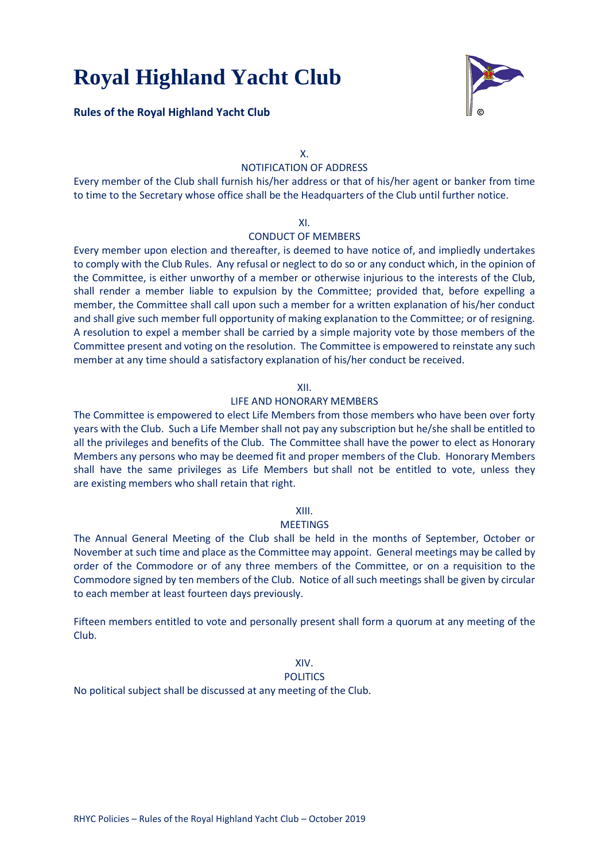**Rules of the Royal Highland Yacht Club**



X.

## NOTIFICATION OF ADDRESS

Every member of the Club shall furnish his/her address or that of his/her agent or banker from time to time to the Secretary whose office shall be the Headquarters of the Club until further notice.

#### XI.

## CONDUCT OF MEMBERS

Every member upon election and thereafter, is deemed to have notice of, and impliedly undertakes to comply with the Club Rules. Any refusal or neglect to do so or any conduct which, in the opinion of the Committee, is either unworthy of a member or otherwise injurious to the interests of the Club, shall render a member liable to expulsion by the Committee; provided that, before expelling a member, the Committee shall call upon such a member for a written explanation of his/her conduct and shall give such member full opportunity of making explanation to the Committee; or of resigning. A resolution to expel a member shall be carried by a simple majority vote by those members of the Committee present and voting on the resolution. The Committee is empowered to reinstate any such member at any time should a satisfactory explanation of his/her conduct be received.

#### XII.

#### LIFE AND HONORARY MEMBERS

The Committee is empowered to elect Life Members from those members who have been over forty years with the Club. Such a Life Member shall not pay any subscription but he/she shall be entitled to all the privileges and benefits of the Club. The Committee shall have the power to elect as Honorary Members any persons who may be deemed fit and proper members of the Club. Honorary Members shall have the same privileges as Life Members but shall not be entitled to vote, unless they are existing members who shall retain that right.

#### XIII.

#### **MEETINGS**

The Annual General Meeting of the Club shall be held in the months of September, October or November at such time and place as the Committee may appoint. General meetings may be called by order of the Commodore or of any three members of the Committee, or on a requisition to the Commodore signed by ten members of the Club. Notice of all such meetings shall be given by circular to each member at least fourteen days previously.

Fifteen members entitled to vote and personally present shall form a quorum at any meeting of the Club.

## XIV.

#### POLITICS

No political subject shall be discussed at any meeting of the Club.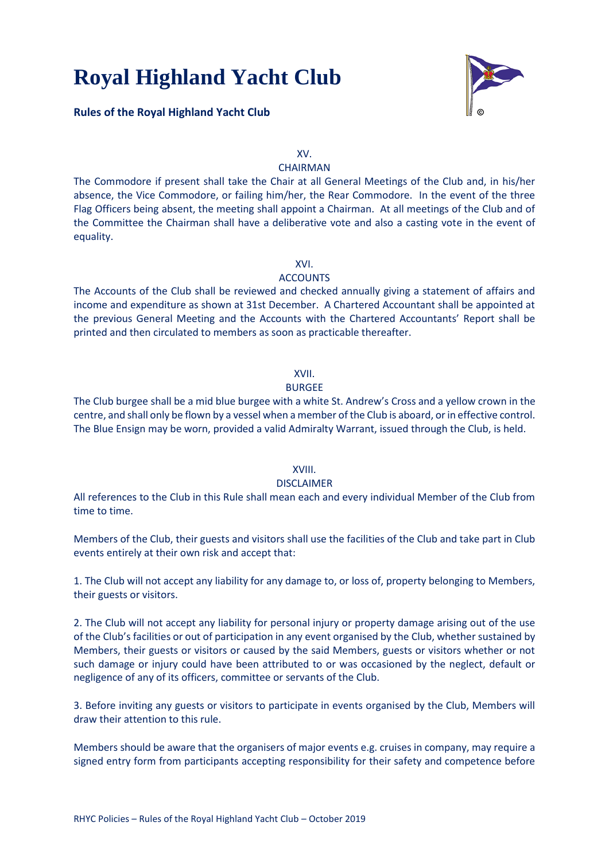

## **Rules of the Royal Highland Yacht Club**

XV.

## **CHAIRMAN**

The Commodore if present shall take the Chair at all General Meetings of the Club and, in his/her absence, the Vice Commodore, or failing him/her, the Rear Commodore. In the event of the three Flag Officers being absent, the meeting shall appoint a Chairman. At all meetings of the Club and of the Committee the Chairman shall have a deliberative vote and also a casting vote in the event of equality.

XVI.

#### **ACCOUNTS**

The Accounts of the Club shall be reviewed and checked annually giving a statement of affairs and income and expenditure as shown at 31st December. A Chartered Accountant shall be appointed at the previous General Meeting and the Accounts with the Chartered Accountants' Report shall be printed and then circulated to members as soon as practicable thereafter.

#### XVII.

#### BURGEE

The Club burgee shall be a mid blue burgee with a white St. Andrew's Cross and a yellow crown in the centre, and shall only be flown by a vessel when a member of the Club is aboard, or in effective control. The Blue Ensign may be worn, provided a valid Admiralty Warrant, issued through the Club, is held.

## XVIII.

#### DISCLAIMER

All references to the Club in this Rule shall mean each and every individual Member of the Club from time to time.

Members of the Club, their guests and visitors shall use the facilities of the Club and take part in Club events entirely at their own risk and accept that:

1. The Club will not accept any liability for any damage to, or loss of, property belonging to Members, their guests or visitors.

2. The Club will not accept any liability for personal injury or property damage arising out of the use of the Club's facilities or out of participation in any event organised by the Club, whether sustained by Members, their guests or visitors or caused by the said Members, guests or visitors whether or not such damage or injury could have been attributed to or was occasioned by the neglect, default or negligence of any of its officers, committee or servants of the Club.

3. Before inviting any guests or visitors to participate in events organised by the Club, Members will draw their attention to this rule.

Members should be aware that the organisers of major events e.g. cruises in company, may require a signed entry form from participants accepting responsibility for their safety and competence before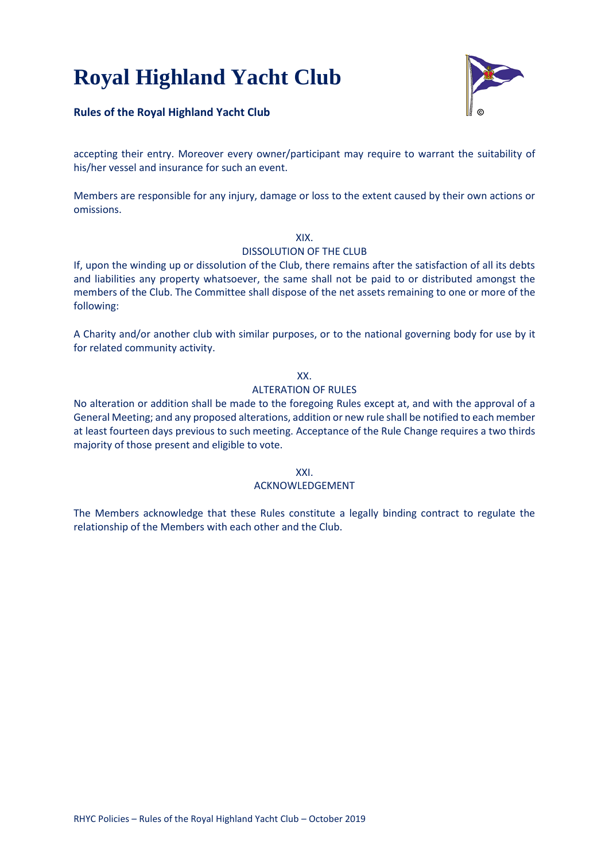

## **Rules of the Royal Highland Yacht Club**

accepting their entry. Moreover every owner/participant may require to warrant the suitability of his/her vessel and insurance for such an event.

Members are responsible for any injury, damage or loss to the extent caused by their own actions or omissions.

#### XIX.

#### DISSOLUTION OF THE CLUB

If, upon the winding up or dissolution of the Club, there remains after the satisfaction of all its debts and liabilities any property whatsoever, the same shall not be paid to or distributed amongst the members of the Club. The Committee shall dispose of the net assets remaining to one or more of the following:

A Charity and/or another club with similar purposes, or to the national governing body for use by it for related community activity.

## XX.

#### ALTERATION OF RULES

No alteration or addition shall be made to the foregoing Rules except at, and with the approval of a General Meeting; and any proposed alterations, addition or new rule shall be notified to each member at least fourteen days previous to such meeting. Acceptance of the Rule Change requires a two thirds majority of those present and eligible to vote.

XXI.

## ACKNOWLEDGEMENT

The Members acknowledge that these Rules constitute a legally binding contract to regulate the relationship of the Members with each other and the Club.